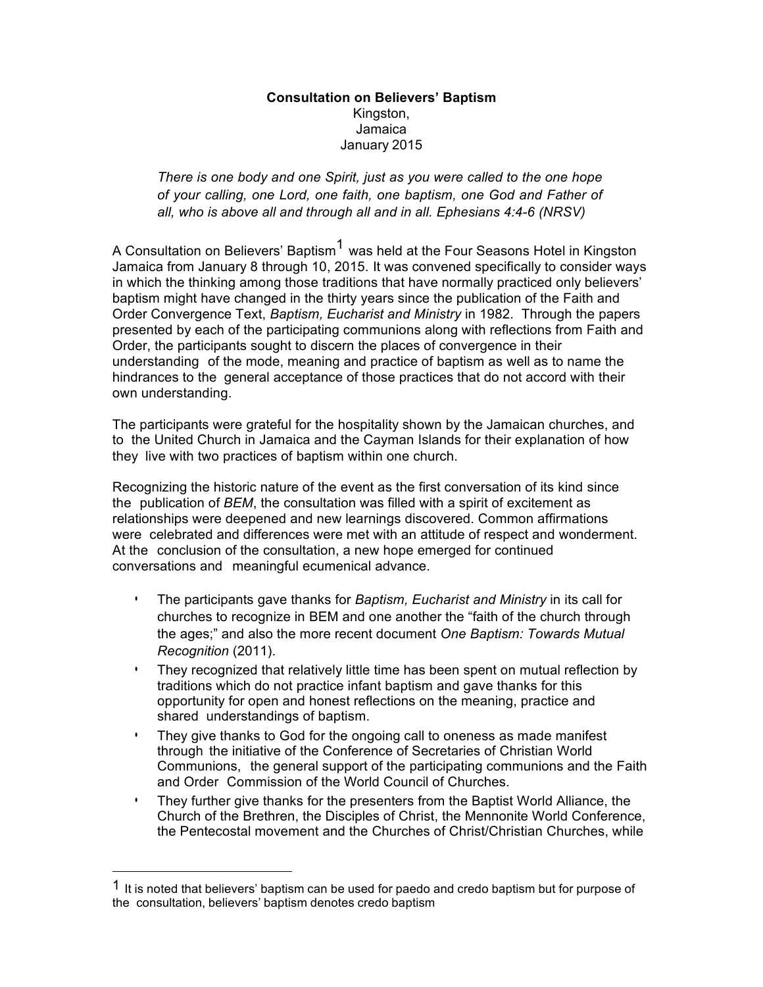## **Consultation on Believers' Baptism** Kingston, Jamaica January 2015

*There is one body and one Spirit, just as you were called to the one hope of your calling, one Lord, one faith, one baptism, one God and Father of all, who is above all and through all and in all. Ephesians 4:4-6 (NRSV)*

A Consultation on Believers' Baptism<sup>1</sup> was held at the Four Seasons Hotel in Kingston Jamaica from January 8 through 10, 2015. It was convened specifically to consider ways in which the thinking among those traditions that have normally practiced only believers' baptism might have changed in the thirty years since the publication of the Faith and Order Convergence Text, *Baptism, Eucharist and Ministry* in 1982. Through the papers presented by each of the participating communions along with reflections from Faith and Order, the participants sought to discern the places of convergence in their understanding of the mode, meaning and practice of baptism as well as to name the hindrances to the general acceptance of those practices that do not accord with their own understanding.

The participants were grateful for the hospitality shown by the Jamaican churches, and to the United Church in Jamaica and the Cayman Islands for their explanation of how they live with two practices of baptism within one church.

Recognizing the historic nature of the event as the first conversation of its kind since the publication of *BEM*, the consultation was filled with a spirit of excitement as relationships were deepened and new learnings discovered. Common affirmations were celebrated and differences were met with an attitude of respect and wonderment. At the conclusion of the consultation, a new hope emerged for continued conversations and meaningful ecumenical advance.

- The participants gave thanks for *Baptism, Eucharist and Ministry* in its call for churches to recognize in BEM and one another the "faith of the church through the ages;" and also the more recent document *One Baptism: Towards Mutual Recognition* (2011).
- They recognized that relatively little time has been spent on mutual reflection by traditions which do not practice infant baptism and gave thanks for this opportunity for open and honest reflections on the meaning, practice and shared understandings of baptism.
- They give thanks to God for the ongoing call to oneness as made manifest through the initiative of the Conference of Secretaries of Christian World Communions, the general support of the participating communions and the Faith and Order Commission of the World Council of Churches.
- They further give thanks for the presenters from the Baptist World Alliance, the Church of the Brethren, the Disciples of Christ, the Mennonite World Conference, the Pentecostal movement and the Churches of Christ/Christian Churches, while

<sup>1</sup> It is noted that believers' baptism can be used for paedo and credo baptism but for purpose of the consultation, believers' baptism denotes credo baptism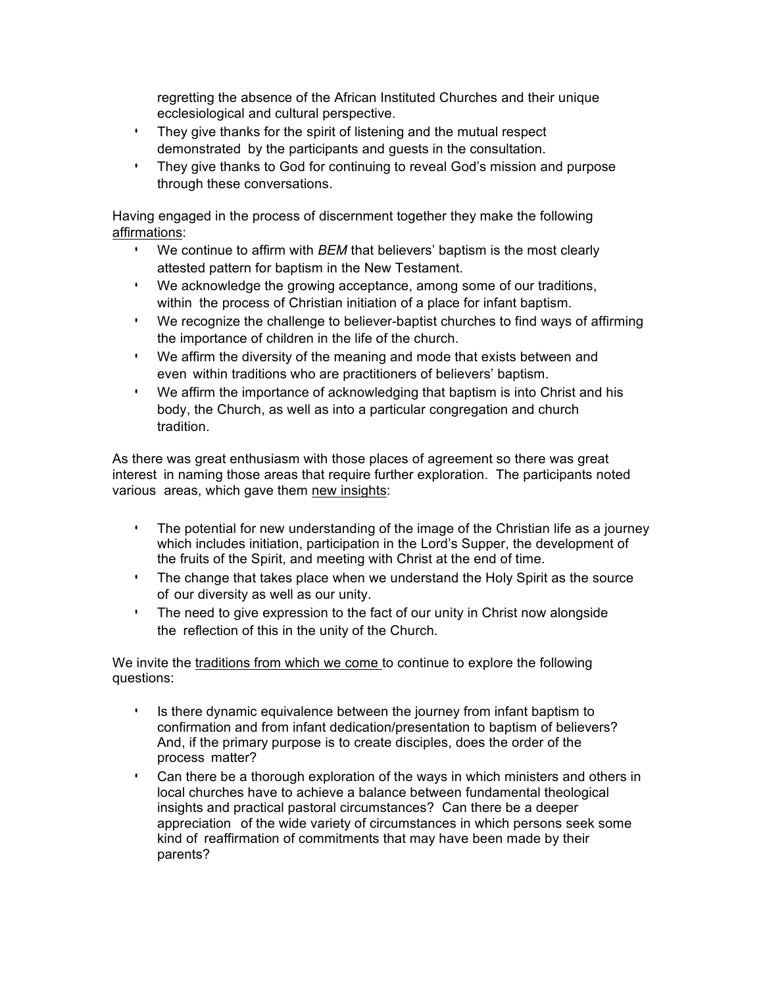regretting the absence of the African Instituted Churches and their unique ecclesiological and cultural perspective.

- They give thanks for the spirit of listening and the mutual respect demonstrated by the participants and guests in the consultation.
- They give thanks to God for continuing to reveal God's mission and purpose through these conversations.

Having engaged in the process of discernment together they make the following affirmations:

- We continue to affirm with *BEM* that believers' baptism is the most clearly attested pattern for baptism in the New Testament.
- We acknowledge the growing acceptance, among some of our traditions, within the process of Christian initiation of a place for infant baptism.
- We recognize the challenge to believer-baptist churches to find ways of affirming the importance of children in the life of the church.
- We affirm the diversity of the meaning and mode that exists between and even within traditions who are practitioners of believers' baptism.
- We affirm the importance of acknowledging that baptism is into Christ and his body, the Church, as well as into a particular congregation and church tradition.

As there was great enthusiasm with those places of agreement so there was great interest in naming those areas that require further exploration. The participants noted various areas, which gave them new insights:

- The potential for new understanding of the image of the Christian life as a journey which includes initiation, participation in the Lord's Supper, the development of the fruits of the Spirit, and meeting with Christ at the end of time.
- The change that takes place when we understand the Holy Spirit as the source of our diversity as well as our unity.
- The need to give expression to the fact of our unity in Christ now alongside the reflection of this in the unity of the Church.

We invite the traditions from which we come to continue to explore the following questions:

- Is there dynamic equivalence between the journey from infant baptism to confirmation and from infant dedication/presentation to baptism of believers? And, if the primary purpose is to create disciples, does the order of the process matter?
- Can there be a thorough exploration of the ways in which ministers and others in local churches have to achieve a balance between fundamental theological insights and practical pastoral circumstances? Can there be a deeper appreciation of the wide variety of circumstances in which persons seek some kind of reaffirmation of commitments that may have been made by their parents?